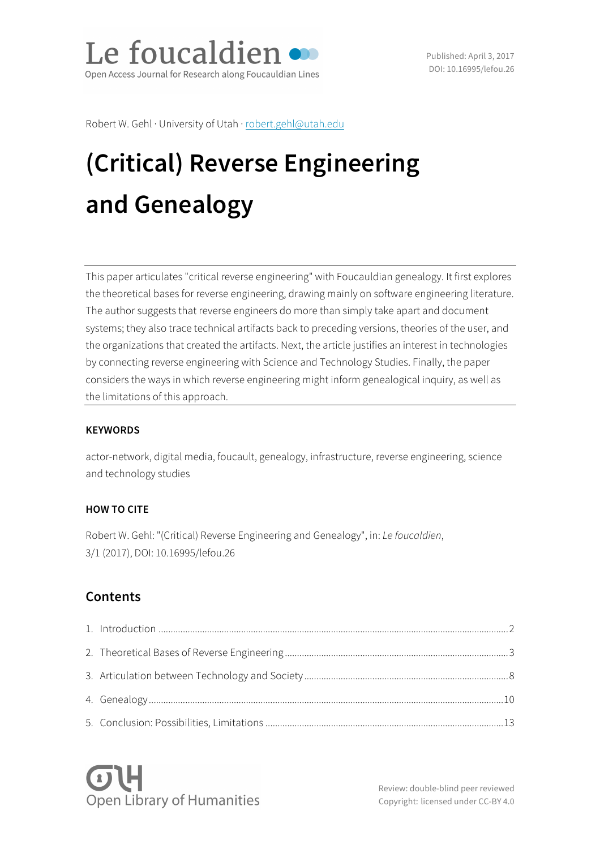Le foucaldien Open Access Journal for Research along Foucauldian Lines

Published: April 3, 2017 DOI: 10.16995/lefou.26

Robert W. Gehl · University of Utah · robert.gehl@utah.edu

# **(Critical) Reverse Engineering and Genealogy**

This paper articulates "critical reverse engineering" with Foucauldian genealogy. It first explores the theoretical bases for reverse engineering, drawing mainly on software engineering literature. The author suggests that reverse engineers do more than simply take apart and document systems; they also trace technical artifacts back to preceding versions, theories of the user, and the organizations that created the artifacts. Next, the article justifies an interest in technologies by connecting reverse engineering with Science and Technology Studies. Finally, the paper considers the ways in which reverse engineering might inform genealogical inquiry, as well as the limitations of this approach.

#### **KEYWORDS**

actor-network, digital media, foucault, genealogy, infrastructure, reverse engineering, science and technology studies

#### **HOW TO CITE**

Robert W. Gehl: "(Critical) Reverse Engineering and Genealogy", in: *Le foucaldien*, 3/1 (2017), DOI: 10.16995/lefou.26

## **Contents**



Review: double-blind peer reviewed Copyright: licensed under CC-BY 4.0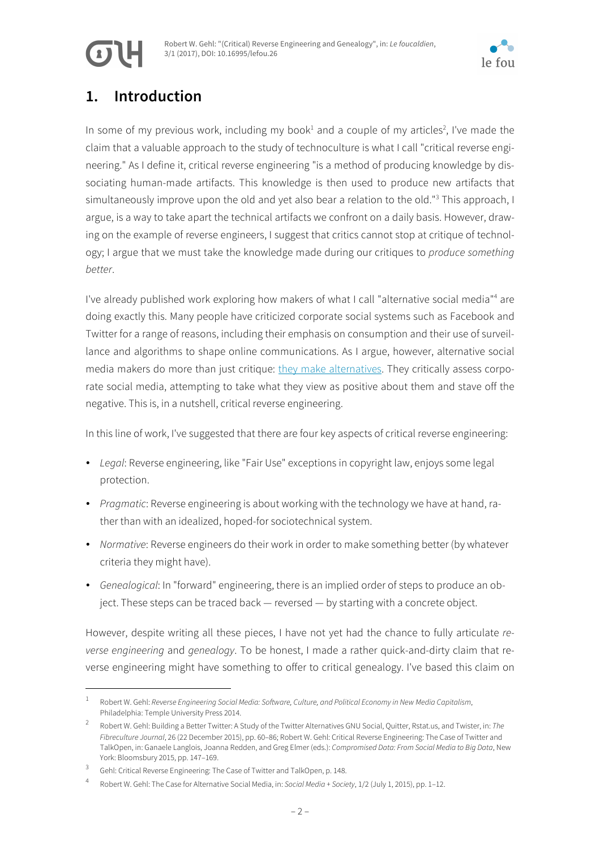





# **1. Introduction**

In some of my previous work, including my book<sup>1</sup> and a couple of my articles<sup>2</sup>, I've made the claim that a valuable approach to the study of technoculture is what I call "critical reverse engineering." As I define it, critical reverse engineering "is a method of producing knowledge by dissociating human-made artifacts. This knowledge is then used to produce new artifacts that simultaneously improve upon the old and yet also bear a relation to the old."<sup>3</sup> This approach, I argue, is a way to take apart the technical artifacts we confront on a daily basis. However, drawing on the example of reverse engineers, I suggest that critics cannot stop at critique of technology; I argue that we must take the knowledge made during our critiques to *produce something better*.

I've already published work exploring how makers of what I call "alternative social media"<sup>4</sup> are doing exactly this. Many people have criticized corporate social systems such as Facebook and Twitter for a range of reasons, including their emphasis on consumption and their use of surveillance and algorithms to shape online communications. As I argue, however, alternative social media makers do more than just critique: [they make alternatives](https://socialmediaalternatives.org/archive/). They critically assess corporate social media, attempting to take what they view as positive about them and stave off the negative. This is, in a nutshell, critical reverse engineering.

In this line of work, I've suggested that there are four key aspects of critical reverse engineering:

- *Legal*: Reverse engineering, like "Fair Use" exceptions in copyright law, enjoys some legal protection.
- *Pragmatic*: Reverse engineering is about working with the technology we have at hand, rather than with an idealized, hoped-for sociotechnical system.
- *Normative*: Reverse engineers do their work in order to make something better (by whatever criteria they might have).
- *Genealogical*: In "forward" engineering, there is an implied order of steps to produce an object. These steps can be traced back — reversed — by starting with a concrete object.

However, despite writing all these pieces, I have not yet had the chance to fully articulate *reverse engineering* and *genealogy*. To be honest, I made a rather quick-and-dirty claim that reverse engineering might have something to offer to critical genealogy. I've based this claim on

 <sup>1</sup> Robert W. Gehl: *Reverse Engineering Social Media: Software, Culture, and Political Economy in New Media Capitalism*, Philadelphia: Temple University Press 2014.

<sup>2</sup> Robert W. Gehl: Building a Better Twitter: A Study of the Twitter Alternatives GNU Social, Quitter, Rstat.us, and Twister, in: *The Fibreculture Journal*, 26 (22 December 2015), pp. 60–86; Robert W. Gehl: Critical Reverse Engineering: The Case of Twitter and TalkOpen, in: Ganaele Langlois, Joanna Redden, and Greg Elmer (eds.): *Compromised Data: From Social Media to Big Data*, New York: Bloomsbury 2015, pp. 147–169.

<sup>3</sup> Gehl: Critical Reverse Engineering: The Case of Twitter and TalkOpen, p. 148.

<sup>4</sup> Robert W. Gehl: The Case for Alternative Social Media, in: *Social Media + Society*, 1/2 (July 1, 2015), pp. 1–12.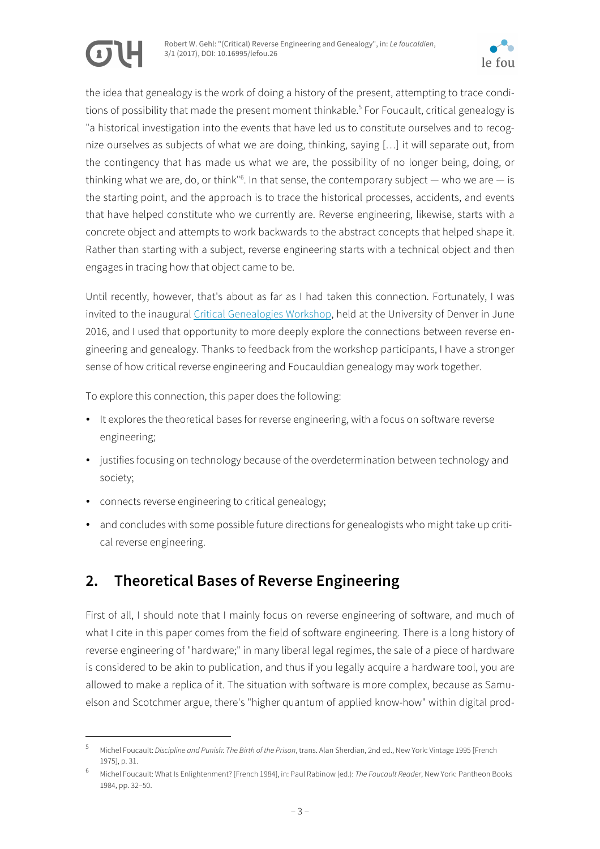



the idea that genealogy is the work of doing a history of the present, attempting to trace conditions of possibility that made the present moment thinkable.<sup>5</sup> For Foucault, critical genealogy is "a historical investigation into the events that have led us to constitute ourselves and to recognize ourselves as subjects of what we are doing, thinking, saying […] it will separate out, from the contingency that has made us what we are, the possibility of no longer being, doing, or thinking what we are, do, or think"<sup>6</sup>. In that sense, the contemporary subject  $-$  who we are  $-$  is the starting point, and the approach is to trace the historical processes, accidents, and events that have helped constitute who we currently are. Reverse engineering, likewise, starts with a concrete object and attempts to work backwards to the abstract concepts that helped shape it. Rather than starting with a subject, reverse engineering starts with a technical object and then engages in tracing how that object came to be.

Until recently, however, that's about as far as I had taken this connection. Fortunately, I was invited to the inaugural [Critical Genealogies Workshop,](http://criticalgenealogies.weebly.com/) held at the University of Denver in June 2016, and I used that opportunity to more deeply explore the connections between reverse engineering and genealogy. Thanks to feedback from the workshop participants, I have a stronger sense of how critical reverse engineering and Foucauldian genealogy may work together.

To explore this connection, this paper does the following:

- It explores the theoretical bases for reverse engineering, with a focus on software reverse engineering;
- justifies focusing on technology because of the overdetermination between technology and society;
- connects reverse engineering to critical genealogy;
- and concludes with some possible future directions for genealogists who might take up critical reverse engineering.

# **2. Theoretical Bases of Reverse Engineering**

First of all, I should note that I mainly focus on reverse engineering of software, and much of what I cite in this paper comes from the field of software engineering. There is a long history of reverse engineering of "hardware;" in many liberal legal regimes, the sale of a piece of hardware is considered to be akin to publication, and thus if you legally acquire a hardware tool, you are allowed to make a replica of it. The situation with software is more complex, because as Samuelson and Scotchmer argue, there's "higher quantum of applied know-how" within digital prod-

 <sup>5</sup> Michel Foucault: *Discipline and Punish: The Birth of the Prison*, trans. Alan Sherdian, 2nd ed., New York: Vintage 1995 [French 1975], p. 31.

<sup>6</sup> Michel Foucault: What Is Enlightenment? [French 1984], in: Paul Rabinow (ed.): *The Foucault Reader*, New York: Pantheon Books 1984, pp. 32–50.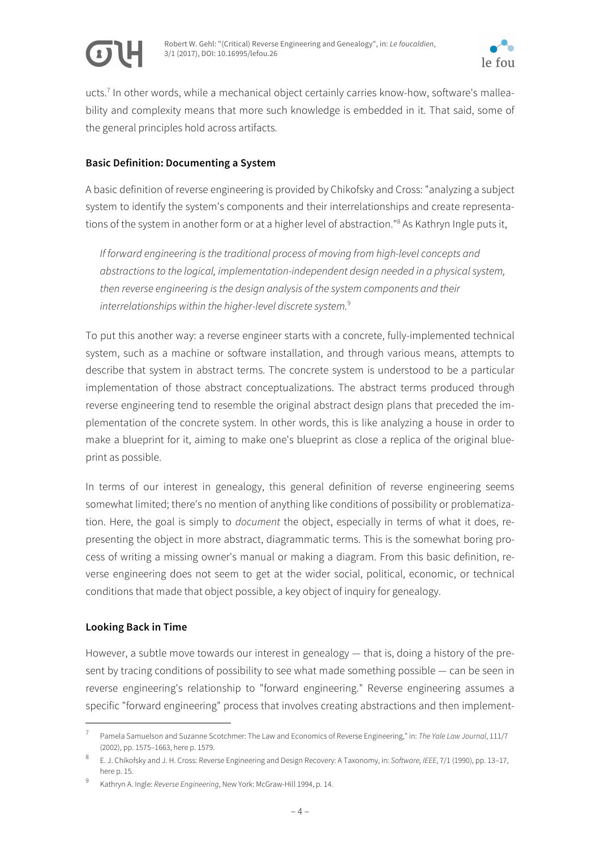



ucts.<sup>7</sup> In other words, while a mechanical object certainly carries know-how, software's malleability and complexity means that more such knowledge is embedded in it. That said, some of the general principles hold across artifacts.

#### **Basic Definition: Documenting a System**

A basic definition of reverse engineering is provided by Chikofsky and Cross: "analyzing a subject system to identify the system's components and their interrelationships and create representations of the system in another form or at a higher level of abstraction."<sup>8</sup> As Kathryn Ingle puts it,

*If forward engineering is the traditional process of moving from high-level concepts and abstractions to the logical, implementation-independent design needed in a physical system, then reverse engineering is the design analysis of the system components and their interrelationships within the higher-level discrete system.*<sup>9</sup>

To put this another way: a reverse engineer starts with a concrete, fully-implemented technical system, such as a machine or software installation, and through various means, attempts to describe that system in abstract terms. The concrete system is understood to be a particular implementation of those abstract conceptualizations. The abstract terms produced through reverse engineering tend to resemble the original abstract design plans that preceded the implementation of the concrete system. In other words, this is like analyzing a house in order to make a blueprint for it, aiming to make one's blueprint as close a replica of the original blueprint as possible.

In terms of our interest in genealogy, this general definition of reverse engineering seems somewhat limited; there's no mention of anything like conditions of possibility or problematization. Here, the goal is simply to *document* the object, especially in terms of what it does, representing the object in more abstract, diagrammatic terms. This is the somewhat boring process of writing a missing owner's manual or making a diagram. From this basic definition, reverse engineering does not seem to get at the wider social, political, economic, or technical conditions that made that object possible, a key object of inquiry for genealogy.

#### **Looking Back in Time**

However, a subtle move towards our interest in genealogy  $-$  that is, doing a history of the present by tracing conditions of possibility to see what made something possible — can be seen in reverse engineering's relationship to "forward engineering." Reverse engineering assumes a specific "forward engineering" process that involves creating abstractions and then implement-

 <sup>7</sup> Pamela Samuelson and Suzanne Scotchmer: The Law and Economics of Reverse Engineering," in: *The Yale Law Journal*, 111/7 (2002), pp. 1575–1663, here p. 1579.

<sup>8</sup> E. J. Chikofsky and J. H. Cross: Reverse Engineering and Design Recovery: A Taxonomy, in: *Software, IEEE*, 7/1 (1990), pp. 13–17, here p. 15.

<sup>9</sup> Kathryn A. Ingle: *Reverse Engineering*, New York: McGraw-Hill 1994, p. 14.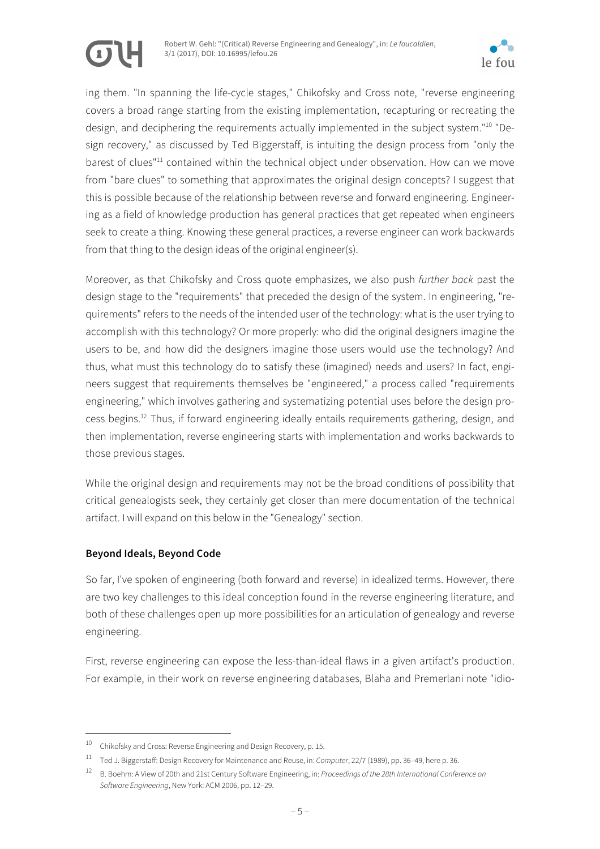

ing them. "In spanning the life-cycle stages," Chikofsky and Cross note, "reverse engineering covers a broad range starting from the existing implementation, recapturing or recreating the design, and deciphering the requirements actually implemented in the subject system."10 "Design recovery," as discussed by Ted Biggerstaff, is intuiting the design process from "only the barest of clues"<sup>11</sup> contained within the technical object under observation. How can we move from "bare clues" to something that approximates the original design concepts? I suggest that this is possible because of the relationship between reverse and forward engineering. Engineering as a field of knowledge production has general practices that get repeated when engineers seek to create a thing. Knowing these general practices, a reverse engineer can work backwards from that thing to the design ideas of the original engineer(s).

Moreover, as that Chikofsky and Cross quote emphasizes, we also push *further back* past the design stage to the "requirements" that preceded the design of the system. In engineering, "requirements" refers to the needs of the intended user of the technology: what is the user trying to accomplish with this technology? Or more properly: who did the original designers imagine the users to be, and how did the designers imagine those users would use the technology? And thus, what must this technology do to satisfy these (imagined) needs and users? In fact, engineers suggest that requirements themselves be "engineered," a process called "requirements engineering," which involves gathering and systematizing potential uses before the design process begins.<sup>12</sup> Thus, if forward engineering ideally entails requirements gathering, design, and then implementation, reverse engineering starts with implementation and works backwards to those previous stages.

While the original design and requirements may not be the broad conditions of possibility that critical genealogists seek, they certainly get closer than mere documentation of the technical artifact. I will expand on this below in the "Genealogy" section.

#### **Beyond Ideals, Beyond Code**

So far, I've spoken of engineering (both forward and reverse) in idealized terms. However, there are two key challenges to this ideal conception found in the reverse engineering literature, and both of these challenges open up more possibilities for an articulation of genealogy and reverse engineering.

First, reverse engineering can expose the less-than-ideal flaws in a given artifact's production. For example, in their work on reverse engineering databases, Blaha and Premerlani note "idio-

 <sup>10</sup> Chikofsky and Cross: Reverse Engineering and Design Recovery, p. 15.

<sup>11</sup> Ted J. Biggerstaff: Design Recovery for Maintenance and Reuse, in: *Computer*, 22/7 (1989), pp. 36–49, here p. 36.

<sup>12</sup> B. Boehm: A View of 20th and 21st Century Software Engineering, in: *Proceedings of the 28th International Conference on Software Engineering*, New York: ACM 2006, pp. 12–29.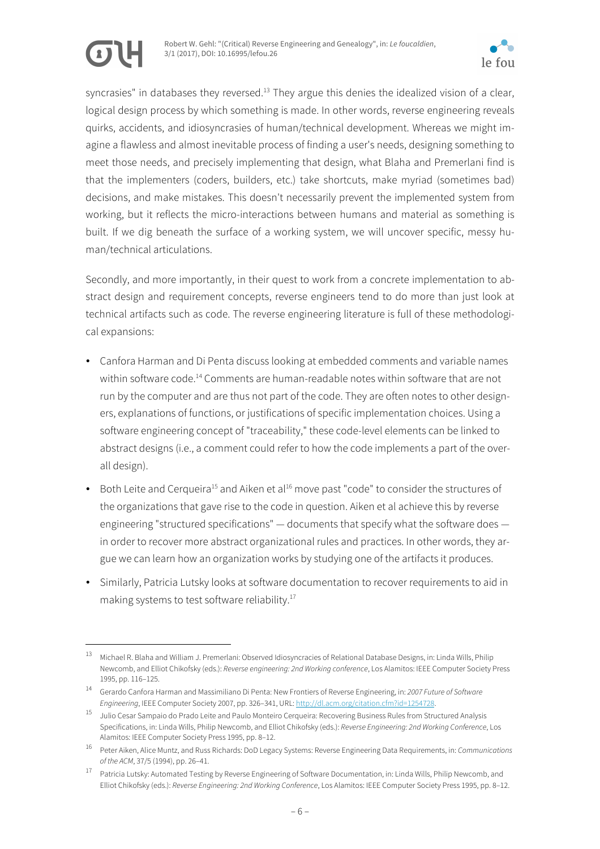

syncrasies" in databases they reversed.<sup>13</sup> They argue this denies the idealized vision of a clear, logical design process by which something is made. In other words, reverse engineering reveals quirks, accidents, and idiosyncrasies of human/technical development. Whereas we might imagine a flawless and almost inevitable process of finding a user's needs, designing something to meet those needs, and precisely implementing that design, what Blaha and Premerlani find is that the implementers (coders, builders, etc.) take shortcuts, make myriad (sometimes bad) decisions, and make mistakes. This doesn't necessarily prevent the implemented system from working, but it reflects the micro-interactions between humans and material as something is built. If we dig beneath the surface of a working system, we will uncover specific, messy human/technical articulations.

Secondly, and more importantly, in their quest to work from a concrete implementation to abstract design and requirement concepts, reverse engineers tend to do more than just look at technical artifacts such as code. The reverse engineering literature is full of these methodological expansions:

- Canfora Harman and Di Penta discuss looking at embedded comments and variable names within software code.<sup>14</sup> Comments are human-readable notes within software that are not run by the computer and are thus not part of the code. They are often notes to other designers, explanations of functions, or justifications of specific implementation choices. Using a software engineering concept of "traceability," these code-level elements can be linked to abstract designs (i.e., a comment could refer to how the code implements a part of the overall design).
- Both Leite and Cerqueira<sup>15</sup> and Aiken et al<sup>16</sup> move past "code" to consider the structures of the organizations that gave rise to the code in question. Aiken et al achieve this by reverse engineering "structured specifications" — documents that specify what the software does in order to recover more abstract organizational rules and practices. In other words, they argue we can learn how an organization works by studying one of the artifacts it produces.
- Similarly, Patricia Lutsky looks at software documentation to recover requirements to aid in making systems to test software reliability.17

 <sup>13</sup> Michael R. Blaha and William J. Premerlani: Observed Idiosyncracies of Relational Database Designs, in: Linda Wills, Philip Newcomb, and Elliot Chikofsky (eds.): *Reverse engineering: 2nd Working conference*, Los Alamitos: IEEE Computer Society Press 1995, pp. 116–125.

<sup>14</sup> Gerardo Canfora Harman and Massimiliano Di Penta: New Frontiers of Reverse Engineering, in: *2007 Future of Software Engineering*, IEEE Computer Society 2007, pp. 326–341, URL: http://dl.acm.org/citation.cfm?id=1254728.

<sup>15</sup> Julio Cesar Sampaio do Prado Leite and Paulo Monteiro Cerqueira: Recovering Business Rules from Structured Analysis Specifications, in: Linda Wills, Philip Newcomb, and Elliot Chikofsky (eds.): *Reverse Engineering: 2nd Working Conference*, Los Alamitos: IEEE Computer Society Press 1995, pp. 8–12.

<sup>16</sup> Peter Aiken, Alice Muntz, and Russ Richards: DoD Legacy Systems: Reverse Engineering Data Requirements, in: *Communications of the ACM*, 37/5 (1994), pp. 26–41.

<sup>17</sup> Patricia Lutsky: Automated Testing by Reverse Engineering of Software Documentation, in: Linda Wills, Philip Newcomb, and Elliot Chikofsky (eds.): *Reverse Engineering: 2nd Working Conference*, Los Alamitos: IEEE Computer Society Press 1995, pp. 8–12.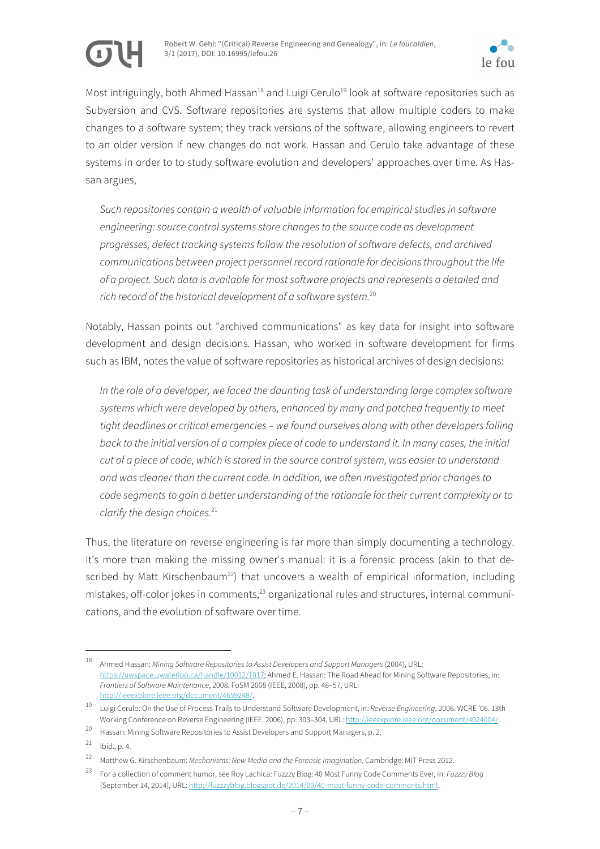



Most intriguingly, both Ahmed Hassan<sup>18</sup> and Luigi Cerulo<sup>19</sup> look at software repositories such as Subversion and CVS. Software repositories are systems that allow multiple coders to make changes to a software system; they track versions of the software, allowing engineers to revert to an older version if new changes do not work. Hassan and Cerulo take advantage of these systems in order to to study software evolution and developers' approaches over time. As Hassan argues,

*Such repositories contain a wealth of valuable information for empirical studies in software engineering: source control systems store changes to the source code as development progresses, defect tracking systems follow the resolution of software defects, and archived communications between project personnel record rationale for decisions throughout the life of a project. Such data is available for most software projects and represents a detailed and rich record of the historical development of a software system.*<sup>20</sup>

Notably, Hassan points out "archived communications" as key data for insight into software development and design decisions. Hassan, who worked in software development for firms such as IBM, notes the value of software repositories as historical archives of design decisions:

*In the role of a developer, we faced the daunting task of understanding large complex software systems which were developed by others, enhanced by many and patched frequently to meet tight deadlines or critical emergencies – we found ourselves along with other developers falling back to the initial version of a complex piece of code to understand it. In many cases, the initial cut of a piece of code, which is stored in the source control system, was easier to understand and was cleaner than the current code. In addition, we often investigated prior changes to code segments to gain a better understanding of the rationale for their current complexity or to clarify the design choices.*<sup>21</sup>

Thus, the literature on reverse engineering is far more than simply documenting a technology. It's more than making the missing owner's manual: it is a forensic process (akin to that described by Matt Kirschenbaum<sup>22</sup>) that uncovers a wealth of empirical information, including mistakes, off-color jokes in comments, $^{23}$  organizational rules and structures, internal communications, and the evolution of software over time.

 <sup>18</sup> Ahmed Hassan: *Mining Software Repositories to Assist Developers and Support Managers* (2004), URL: https://uwspace.uwaterloo.ca/handle/10012/1017; Ahmed E. Hassan: The Road Ahead for Mining Software Repositories, in: *Frontiers of Software Maintenance*, 2008. FoSM 2008 (IEEE, 2008), pp. 48–57, URL: http://ieeexplore.ieee.org/document/4659248/.

<sup>19</sup> Luigi Cerulo: On the Use of Process Trails to Understand Software Development, in: *Reverse Engineering*, 2006. WCRE '06. 13th Working Conference on Reverse Engineering (IEEE, 2006), pp. 303–304, URL: http://ieeexplore.ieee.org/document/4024004/.

<sup>20</sup> Hassan: Mining Software Repositories to Assist Developers and Support Managers, p. 2.

 $21$  Ibid., p. 4.

<sup>22</sup> Matthew G. Kirschenbaum: *Mechanisms: New Media and the Forensic Imagination*, Cambridge: MIT Press 2012.

<sup>23</sup> For a collection of comment humor, see Roy Lachica: Fuzzzy Blog: 40 Most Funny Code Comments Ever, in: *Fuzzzy Blog* (September 14, 2014), URL: http://fuzzzyblog.blogspot.de/2014/09/40-most-funny-code-comments.html.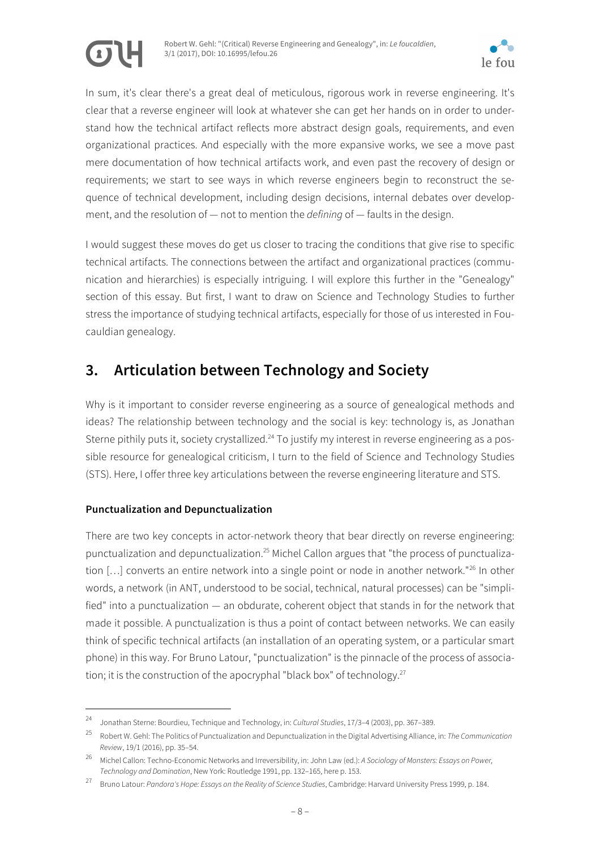



In sum, it's clear there's a great deal of meticulous, rigorous work in reverse engineering. It's clear that a reverse engineer will look at whatever she can get her hands on in order to understand how the technical artifact reflects more abstract design goals, requirements, and even organizational practices. And especially with the more expansive works, we see a move past mere documentation of how technical artifacts work, and even past the recovery of design or requirements; we start to see ways in which reverse engineers begin to reconstruct the sequence of technical development, including design decisions, internal debates over development, and the resolution of — not to mention the *defining* of — faults in the design.

I would suggest these moves do get us closer to tracing the conditions that give rise to specific technical artifacts. The connections between the artifact and organizational practices (communication and hierarchies) is especially intriguing. I will explore this further in the "Genealogy" section of this essay. But first, I want to draw on Science and Technology Studies to further stress the importance of studying technical artifacts, especially for those of us interested in Foucauldian genealogy.

## **3. Articulation between Technology and Society**

Why is it important to consider reverse engineering as a source of genealogical methods and ideas? The relationship between technology and the social is key: technology is, as Jonathan Sterne pithily puts it, society crystallized.<sup>24</sup> To justify my interest in reverse engineering as a possible resource for genealogical criticism, I turn to the field of Science and Technology Studies (STS). Here, I offer three key articulations between the reverse engineering literature and STS.

### **Punctualization and Depunctualization**

There are two key concepts in actor-network theory that bear directly on reverse engineering: punctualization and depunctualization.<sup>25</sup> Michel Callon argues that "the process of punctualization [...] converts an entire network into a single point or node in another network."<sup>26</sup> In other words, a network (in ANT, understood to be social, technical, natural processes) can be "simplified" into a punctualization — an obdurate, coherent object that stands in for the network that made it possible. A punctualization is thus a point of contact between networks. We can easily think of specific technical artifacts (an installation of an operating system, or a particular smart phone) in this way. For Bruno Latour, "punctualization" is the pinnacle of the process of association; it is the construction of the apocryphal "black box" of technology.<sup>27</sup>

 <sup>24</sup> Jonathan Sterne: Bourdieu, Technique and Technology, in: *Cultural Studies*, 17/3–4 (2003), pp. 367–389.

<sup>25</sup> Robert W. Gehl: The Politics of Punctualization and Depunctualization in the Digital Advertising Alliance, in: *The Communication Review*, 19/1 (2016), pp. 35–54.

<sup>26</sup> Michel Callon: Techno-Economic Networks and Irreversibility, in: John Law (ed.): *A Sociology of Monsters: Essays on Power, Technology and Domination*, New York: Routledge 1991, pp. 132–165, here p. 153.

<sup>27</sup> Bruno Latour: *Pandora's Hope: Essays on the Reality of Science Studies*, Cambridge: Harvard University Press 1999, p. 184.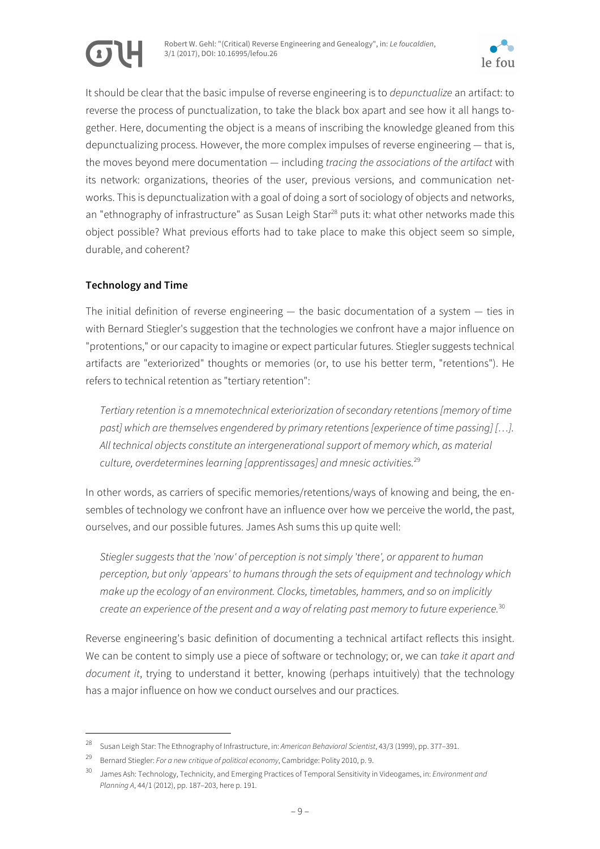



It should be clear that the basic impulse of reverse engineering is to *depunctualize* an artifact: to reverse the process of punctualization, to take the black box apart and see how it all hangs together. Here, documenting the object is a means of inscribing the knowledge gleaned from this depunctualizing process. However, the more complex impulses of reverse engineering — that is, the moves beyond mere documentation — including *tracing the associations of the artifact* with its network: organizations, theories of the user, previous versions, and communication networks. This is depunctualization with a goal of doing a sort of sociology of objects and networks, an "ethnography of infrastructure" as Susan Leigh Star<sup>28</sup> puts it: what other networks made this object possible? What previous efforts had to take place to make this object seem so simple, durable, and coherent?

#### **Technology and Time**

The initial definition of reverse engineering  $-$  the basic documentation of a system  $-$  ties in with Bernard Stiegler's suggestion that the technologies we confront have a major influence on "protentions," or our capacity to imagine or expect particular futures. Stiegler suggests technical artifacts are "exteriorized" thoughts or memories (or, to use his better term, "retentions"). He refers to technical retention as "tertiary retention":

*Tertiary retention is a mnemotechnical exteriorization of secondary retentions [memory of time past] which are themselves engendered by primary retentions [experience of time passing] […]. All technical objects constitute an intergenerational support of memory which, as material culture, overdetermines learning [apprentissages] and mnesic activities.*<sup>29</sup>

In other words, as carriers of specific memories/retentions/ways of knowing and being, the ensembles of technology we confront have an influence over how we perceive the world, the past, ourselves, and our possible futures. James Ash sums this up quite well:

*Stiegler suggests that the 'now' of perception is not simply 'there', or apparent to human perception, but only 'appears' to humans through the sets of equipment and technology which make up the ecology of an environment. Clocks, timetables, hammers, and so on implicitly create an experience of the present and a way of relating past memory to future experience.*<sup>30</sup>

Reverse engineering's basic definition of documenting a technical artifact reflects this insight. We can be content to simply use a piece of software or technology; or, we can *take it apart and document it*, trying to understand it better, knowing (perhaps intuitively) that the technology has a major influence on how we conduct ourselves and our practices.

 <sup>28</sup> Susan Leigh Star: The Ethnography of Infrastructure, in: *American Behavioral Scientist*, 43/3 (1999), pp. 377–391.

<sup>29</sup> Bernard Stiegler: *For a new critique of political economy*, Cambridge: Polity 2010, p. 9.

<sup>30</sup> James Ash: Technology, Technicity, and Emerging Practices of Temporal Sensitivity in Videogames, in: *Environment and Planning A*, 44/1 (2012), pp. 187–203, here p. 191.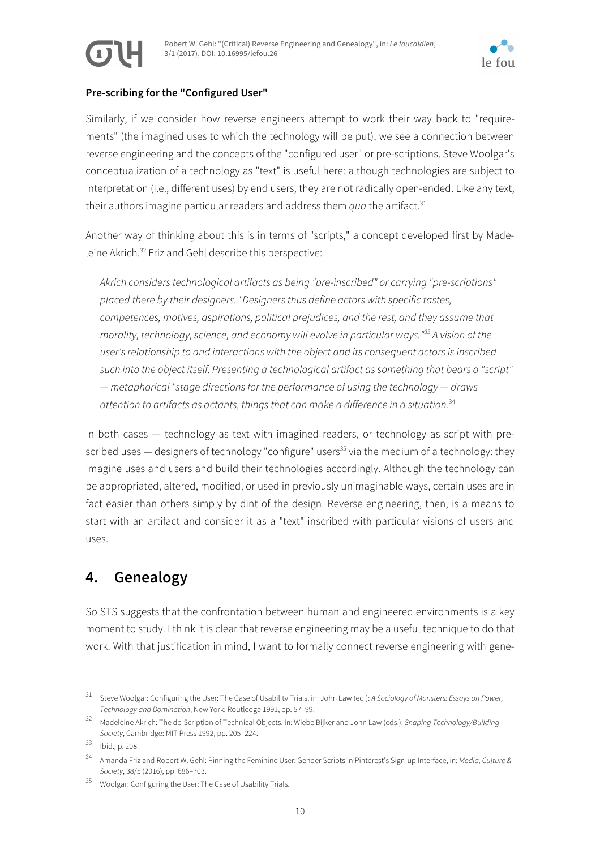



#### **Pre-scribing for the "Configured User"**

Similarly, if we consider how reverse engineers attempt to work their way back to "requirements" (the imagined uses to which the technology will be put), we see a connection between reverse engineering and the concepts of the "configured user" or pre-scriptions. Steve Woolgar's conceptualization of a technology as "text" is useful here: although technologies are subject to interpretation (i.e., different uses) by end users, they are not radically open-ended. Like any text, their authors imagine particular readers and address them *qua* the artifact.<sup>31</sup>

Another way of thinking about this is in terms of "scripts," a concept developed first by Madeleine Akrich.32 Friz and Gehl describe this perspective:

*Akrich considers technological artifacts as being "pre-inscribed" or carrying "pre-scriptions" placed there by their designers. "Designers thus define actors with specific tastes, competences, motives, aspirations, political prejudices, and the rest, and they assume that morality, technology, science, and economy will evolve in particular ways."33 A vision of the user's relationship to and interactions with the object and its consequent actors is inscribed such into the object itself. Presenting a technological artifact as something that bears a "script" — metaphorical "stage directions for the performance of using the technology — draws attention to artifacts as actants, things that can make a difference in a situation.*<sup>34</sup>

In both cases — technology as text with imagined readers, or technology as script with prescribed uses  $-$  designers of technology "configure" users<sup>35</sup> via the medium of a technology: they imagine uses and users and build their technologies accordingly. Although the technology can be appropriated, altered, modified, or used in previously unimaginable ways, certain uses are in fact easier than others simply by dint of the design. Reverse engineering, then, is a means to start with an artifact and consider it as a "text" inscribed with particular visions of users and uses.

## **4. Genealogy**

So STS suggests that the confrontation between human and engineered environments is a key moment to study. I think it is clear that reverse engineering may be a useful technique to do that work. With that justification in mind, I want to formally connect reverse engineering with gene-

 <sup>31</sup> Steve Woolgar: Configuring the User: The Case of Usability Trials, in: John Law (ed.): *A Sociology of Monsters: Essays on Power, Technology and Domination*, New York: Routledge 1991, pp. 57–99.

<sup>32</sup> Madeleine Akrich: The de-Scription of Technical Objects, in: Wiebe Bijker and John Law (eds.): *Shaping Technology/Building Society*, Cambridge: MIT Press 1992, pp. 205–224.

<sup>33</sup> Ibid., p. 208.

<sup>34</sup> Amanda Friz and Robert W. Gehl: Pinning the Feminine User: Gender Scripts in Pinterest's Sign-up Interface, in: *Media, Culture & Society*, 38/5 (2016), pp. 686–703.

<sup>35</sup> Woolgar: Configuring the User: The Case of Usability Trials.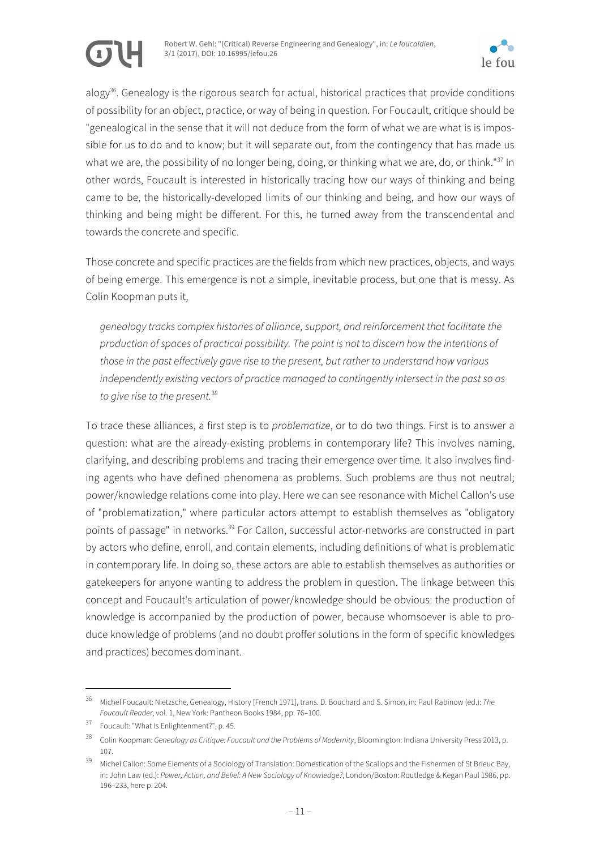



alogy<sup>36</sup>. Genealogy is the rigorous search for actual, historical practices that provide conditions of possibility for an object, practice, or way of being in question. For Foucault, critique should be "genealogical in the sense that it will not deduce from the form of what we are what is is impossible for us to do and to know; but it will separate out, from the contingency that has made us what we are, the possibility of no longer being, doing, or thinking what we are, do, or think."<sup>37</sup> In other words, Foucault is interested in historically tracing how our ways of thinking and being came to be, the historically-developed limits of our thinking and being, and how our ways of thinking and being might be different. For this, he turned away from the transcendental and towards the concrete and specific.

Those concrete and specific practices are the fields from which new practices, objects, and ways of being emerge. This emergence is not a simple, inevitable process, but one that is messy. As Colin Koopman puts it,

*genealogy tracks complex histories of alliance, support, and reinforcement that facilitate the production of spaces of practical possibility. The point is not to discern how the intentions of those in the past effectively gave rise to the present, but rather to understand how various independently existing vectors of practice managed to contingently intersect in the past so as to give rise to the present.*<sup>38</sup>

To trace these alliances, a first step is to *problematize*, or to do two things. First is to answer a question: what are the already-existing problems in contemporary life? This involves naming, clarifying, and describing problems and tracing their emergence over time. It also involves finding agents who have defined phenomena as problems. Such problems are thus not neutral; power/knowledge relations come into play. Here we can see resonance with Michel Callon's use of "problematization," where particular actors attempt to establish themselves as "obligatory points of passage" in networks.<sup>39</sup> For Callon, successful actor-networks are constructed in part by actors who define, enroll, and contain elements, including definitions of what is problematic in contemporary life. In doing so, these actors are able to establish themselves as authorities or gatekeepers for anyone wanting to address the problem in question. The linkage between this concept and Foucault's articulation of power/knowledge should be obvious: the production of knowledge is accompanied by the production of power, because whomsoever is able to produce knowledge of problems (and no doubt proffer solutions in the form of specific knowledges and practices) becomes dominant.

 <sup>36</sup> Michel Foucault: Nietzsche, Genealogy, History [French 1971], trans. D. Bouchard and S. Simon, in: Paul Rabinow (ed.): *The Foucault Reader*, vol. 1, New York: Pantheon Books 1984, pp. 76–100.

<sup>37</sup> Foucault: "What Is Enlightenment?", p. 45.

<sup>38</sup> Colin Koopman: *Genealogy as Critique: Foucault and the Problems of Modernity*, Bloomington: Indiana University Press 2013, p. 107.

<sup>39</sup> Michel Callon: Some Elements of a Sociology of Translation: Domestication of the Scallops and the Fishermen of St Brieuc Bay, in: John Law (ed.): *Power, Action, and Belief: A New Sociology of Knowledge?*, London/Boston: Routledge & Kegan Paul 1986, pp. 196–233, here p. 204.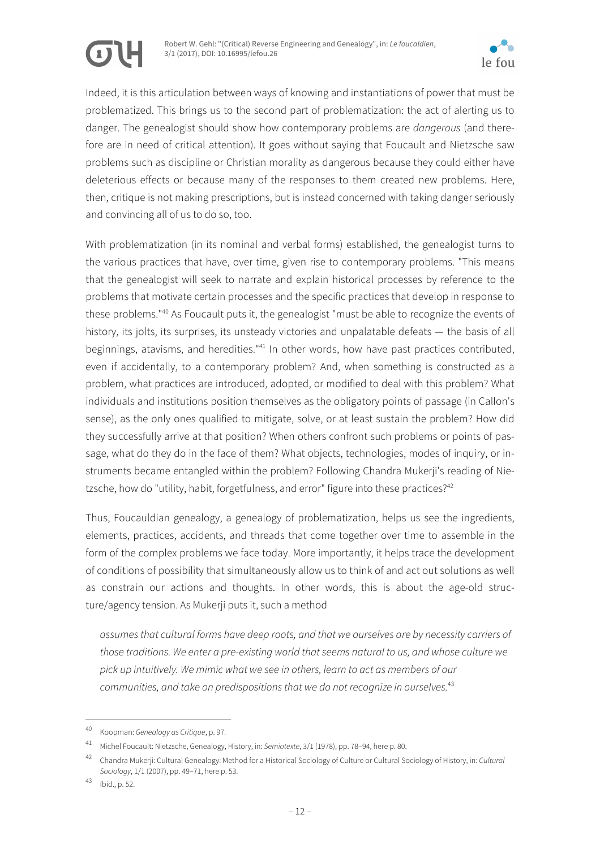



Indeed, it is this articulation between ways of knowing and instantiations of power that must be problematized. This brings us to the second part of problematization: the act of alerting us to danger. The genealogist should show how contemporary problems are *dangerous* (and therefore are in need of critical attention). It goes without saying that Foucault and Nietzsche saw problems such as discipline or Christian morality as dangerous because they could either have deleterious effects or because many of the responses to them created new problems. Here, then, critique is not making prescriptions, but is instead concerned with taking danger seriously and convincing all of us to do so, too.

With problematization (in its nominal and verbal forms) established, the genealogist turns to the various practices that have, over time, given rise to contemporary problems. "This means that the genealogist will seek to narrate and explain historical processes by reference to the problems that motivate certain processes and the specific practices that develop in response to these problems."40 As Foucault puts it, the genealogist "must be able to recognize the events of history, its jolts, its surprises, its unsteady victories and unpalatable defeats — the basis of all beginnings, atavisms, and heredities."<sup>41</sup> In other words, how have past practices contributed, even if accidentally, to a contemporary problem? And, when something is constructed as a problem, what practices are introduced, adopted, or modified to deal with this problem? What individuals and institutions position themselves as the obligatory points of passage (in Callon's sense), as the only ones qualified to mitigate, solve, or at least sustain the problem? How did they successfully arrive at that position? When others confront such problems or points of passage, what do they do in the face of them? What objects, technologies, modes of inquiry, or instruments became entangled within the problem? Following Chandra Mukerji's reading of Nietzsche, how do "utility, habit, forgetfulness, and error" figure into these practices?<sup>42</sup>

Thus, Foucauldian genealogy, a genealogy of problematization, helps us see the ingredients, elements, practices, accidents, and threads that come together over time to assemble in the form of the complex problems we face today. More importantly, it helps trace the development of conditions of possibility that simultaneously allow us to think of and act out solutions as well as constrain our actions and thoughts. In other words, this is about the age-old structure/agency tension. As Mukerji puts it, such a method

*assumes that cultural forms have deep roots, and that we ourselves are by necessity carriers of those traditions. We enter a pre-existing world that seems natural to us, and whose culture we pick up intuitively. We mimic what we see in others, learn to act as members of our communities, and take on predispositions that we do not recognize in ourselves.*<sup>43</sup>

 <sup>40</sup> Koopman: *Genealogy as Critique*, p. 97.

<sup>41</sup> Michel Foucault: Nietzsche, Genealogy, History, in: *Semiotexte*, 3/1 (1978), pp. 78–94, here p. 80.

<sup>42</sup> Chandra Mukerji: Cultural Genealogy: Method for a Historical Sociology of Culture or Cultural Sociology of History, in: *Cultural Sociology*, 1/1 (2007), pp. 49–71, here p. 53.

<sup>43</sup> Ibid., p. 52.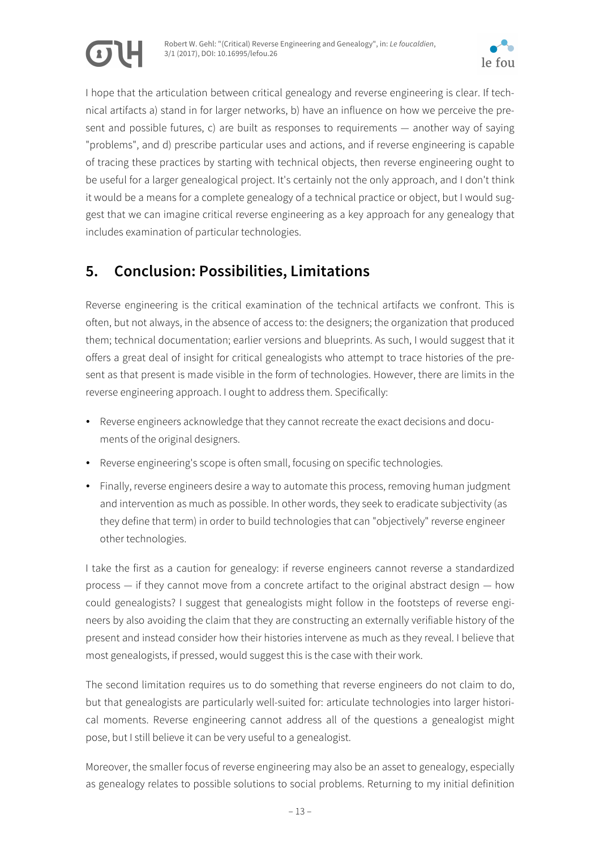

I hope that the articulation between critical genealogy and reverse engineering is clear. If technical artifacts a) stand in for larger networks, b) have an influence on how we perceive the present and possible futures, c) are built as responses to requirements — another way of saying "problems", and d) prescribe particular uses and actions, and if reverse engineering is capable of tracing these practices by starting with technical objects, then reverse engineering ought to be useful for a larger genealogical project. It's certainly not the only approach, and I don't think it would be a means for a complete genealogy of a technical practice or object, but I would suggest that we can imagine critical reverse engineering as a key approach for any genealogy that includes examination of particular technologies.

## **5. Conclusion: Possibilities, Limitations**

Reverse engineering is the critical examination of the technical artifacts we confront. This is often, but not always, in the absence of access to: the designers; the organization that produced them; technical documentation; earlier versions and blueprints. As such, I would suggest that it offers a great deal of insight for critical genealogists who attempt to trace histories of the present as that present is made visible in the form of technologies. However, there are limits in the reverse engineering approach. I ought to address them. Specifically:

- Reverse engineers acknowledge that they cannot recreate the exact decisions and documents of the original designers.
- Reverse engineering's scope is often small, focusing on specific technologies.
- Finally, reverse engineers desire a way to automate this process, removing human judgment and intervention as much as possible. In other words, they seek to eradicate subjectivity (as they define that term) in order to build technologies that can "objectively" reverse engineer other technologies.

I take the first as a caution for genealogy: if reverse engineers cannot reverse a standardized process — if they cannot move from a concrete artifact to the original abstract design — how could genealogists? I suggest that genealogists might follow in the footsteps of reverse engineers by also avoiding the claim that they are constructing an externally verifiable history of the present and instead consider how their histories intervene as much as they reveal. I believe that most genealogists, if pressed, would suggest this is the case with their work.

The second limitation requires us to do something that reverse engineers do not claim to do, but that genealogists are particularly well-suited for: articulate technologies into larger historical moments. Reverse engineering cannot address all of the questions a genealogist might pose, but I still believe it can be very useful to a genealogist.

Moreover, the smaller focus of reverse engineering may also be an asset to genealogy, especially as genealogy relates to possible solutions to social problems. Returning to my initial definition